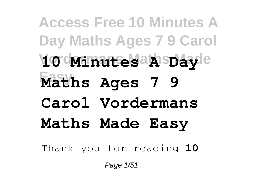**Access Free 10 Minutes A Day Maths Ages 7 9 Carol Vordermans Maths Made 10 Minutes A Day Easy Maths Ages 7 9 Carol Vordermans Maths Made Easy** Thank you for reading **10**

Page 1/51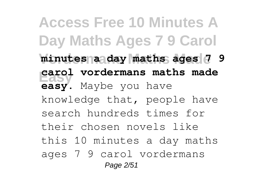**Access Free 10 Minutes A Day Maths Ages 7 9 Carol** minutes a day maths ages 7 9 **Easy carol vordermans maths made easy**. Maybe you have knowledge that, people have search hundreds times for their chosen novels like this 10 minutes a day maths ages 7 9 carol vordermans Page 2/51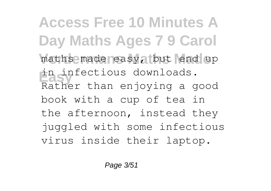**Access Free 10 Minutes A Day Maths Ages 7 9 Carol** maths made easy, but end up **Easy** in infectious downloads. Rather than enjoying a good book with a cup of tea in the afternoon, instead they juggled with some infectious virus inside their laptop.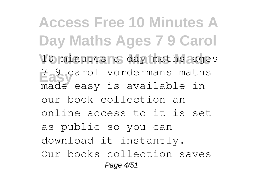**Access Free 10 Minutes A Day Maths Ages 7 9 Carol** 10 minutes a day maths ages **Easy** arol vordermans maths made easy is available in our book collection an online access to it is set as public so you can download it instantly. Our books collection saves Page 4/51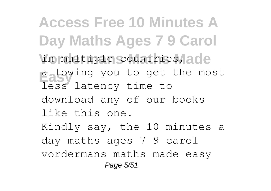**Access Free 10 Minutes A Day Maths Ages 7 9 Carol Vordermans Maths Made** in multiple countries, allowing you to get the most less latency time to download any of our books like this one. Kindly say, the 10 minutes a day maths ages 7 9 carol vordermans maths made easy Page 5/51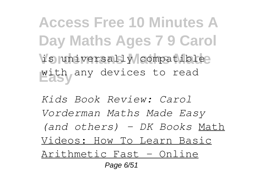**Access Free 10 Minutes A Day Maths Ages 7 9 Carol** is universally compatible? **Easy** with any devices to read

*Kids Book Review: Carol Vorderman Maths Made Easy (and others) - DK Books* Math Videos: How To Learn Basic Arithmetic Fast - Online Page 6/51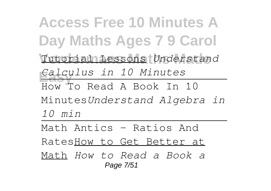**Access Free 10 Minutes A Day Maths Ages 7 9 Carol Vordermans Maths Made** Tutorial Lessons *Understand* **Easy** *Calculus in 10 Minutes* How To Read A Book In 10 Minutes*Understand Algebra in 10 min* Math Antics - Ratios And

RatesHow to Get Better at

Math *How to Read a Book a* Page 7/51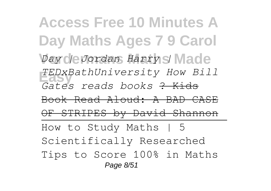**Access Free 10 Minutes A Day Maths Ages 7 9 Carol** *<i>Day de Jordan Harry | Made* **Easy** *TEDxBathUniversity How Bill Gates reads books* ? Kids Book Read Aloud: A BAD CASE OF STRIPES by David Shannon How to Study Maths | 5 Scientifically Researched Tips to Score 100% in Maths Page 8/51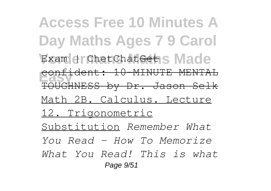**Access Free 10 Minutes A Day Maths Ages 7 9 Carol** Exam drChetChat<del>Get</del>s Made **Easy** confident: 10-MINUTE MENTAL TOUGHNESS by Dr. Jason Selk Math 2B. Calculus. Lecture 12. Trigonometric Substitution *Remember What You Read - How To Memorize What You Read! This is what* Page 9/51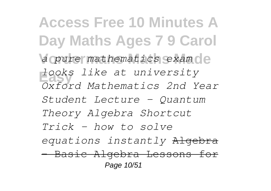**Access Free 10 Minutes A Day Maths Ages 7 9 Carol** a pure mathematics exam ce **Easy** *looks like at university Oxford Mathematics 2nd Year Student Lecture - Quantum Theory Algebra Shortcut Trick - how to solve equations instantly* Algebra - Basic Algebra Lessons for Page 10/51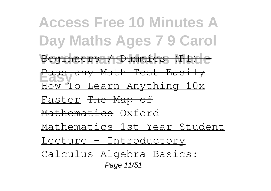**Access Free 10 Minutes A Day Maths Ages 7 9 Carol** Beginners / Dummies (P1) e **Easy** Pass any Math Test Easily How To Learn Anything 10x Faster The Map of Mathematics Oxford Mathematics 1st Year Student Lecture - Introductory Calculus Algebra Basics: Page 11/51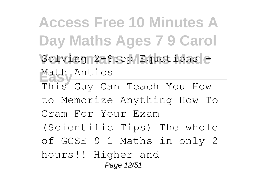**Access Free 10 Minutes A Day Maths Ages 7 9 Carol** Solving 2-Step Equations e Math Antics This Guy Can Teach You How to Memorize Anything How To Cram For Your Exam (Scientific Tips) The whole of GCSE 9-1 Maths in only 2 hours!! Higher and Page 12/51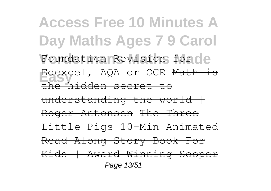**Access Free 10 Minutes A Day Maths Ages 7 9 Carol** Foundation Revision for de Edexcel, AQA or OCR Math is the hidden secret to  $understanding$  the world  $+$ Roger Antonsen The Three Little Pigs 10-Min Animated Read Along Story Book For Kids | Award-Winning Sooper Page 13/51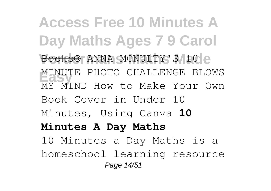**Access Free 10 Minutes A Day Maths Ages 7 9 Carol** Books<sup>©</sup> ANNA MCNULTY'S 10 e **MINUTE PHOTO CHALLENGE BLOWS** MY MIND How to Make Your Own Book Cover in Under 10 Minutes, Using Canva **10 Minutes A Day Maths** 10 Minutes a Day Maths is a homeschool learning resource Page 14/51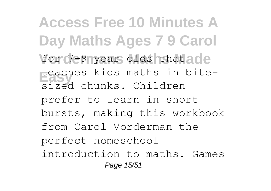**Access Free 10 Minutes A Day Maths Ages 7 9 Carol** for 7-9 year olds that ade **Easy** teaches kids maths in bitesized chunks. Children prefer to learn in short bursts, making this workbook from Carol Vorderman the

perfect homeschool

introduction to maths. Games Page 15/51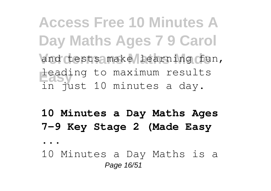**Access Free 10 Minutes A Day Maths Ages 7 9 Carol** and tests make learning fun, **Easy** leading to maximum results in just 10 minutes a day.

## **10 Minutes a Day Maths Ages 7-9 Key Stage 2 (Made Easy**

**...**

10 Minutes a Day Maths is a Page 16/51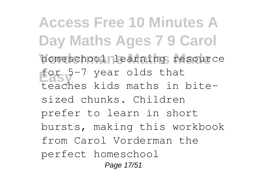**Access Free 10 Minutes A Day Maths Ages 7 9 Carol** homeschool learning resource **Easy** for 5-7 year olds that teaches kids maths in bitesized chunks. Children prefer to learn in short bursts, making this workbook from Carol Vorderman the perfect homeschool Page 17/51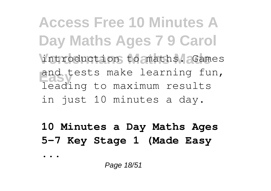**Access Free 10 Minutes A Day Maths Ages 7 9 Carol** introduction to maths. Games and tests make learning fun, leading to maximum results in just 10 minutes a day.

**10 Minutes a Day Maths Ages 5-7 Key Stage 1 (Made Easy**

**...**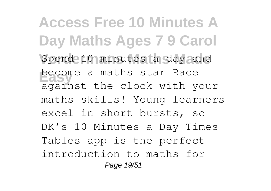**Access Free 10 Minutes A Day Maths Ages 7 9 Carol** Spend 10 minutes a day and **become a maths star Race** against the clock with your maths skills! Young learners excel in short bursts, so DK's 10 Minutes a Day Times Tables app is the perfect introduction to maths for Page 19/51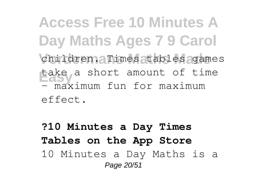**Access Free 10 Minutes A Day Maths Ages 7 9 Carol** children. **Times tables** games **Easy** take a short amount of time - maximum fun for maximum

effect.

**?10 Minutes a Day Times Tables on the App Store** 10 Minutes a Day Maths is a Page 20/51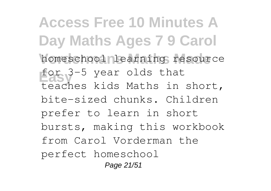**Access Free 10 Minutes A Day Maths Ages 7 9 Carol** homeschool learning resource **Easy** for 3-5 year olds that teaches kids Maths in short, bite-sized chunks. Children prefer to learn in short bursts, making this workbook from Carol Vorderman the perfect homeschool Page 21/51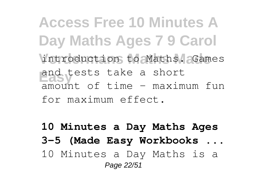**Access Free 10 Minutes A Day Maths Ages 7 9 Carol** introduction to Maths. Games **Easy** and tests take a short  $a$ mount of time  $-$  maximum fun for maximum effect.

**10 Minutes a Day Maths Ages 3-5 (Made Easy Workbooks ...** 10 Minutes a Day Maths is a Page 22/51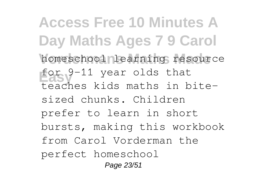**Access Free 10 Minutes A Day Maths Ages 7 9 Carol** homeschool learning resource **Easy** for 9-11 year olds that teaches kids maths in bitesized chunks. Children prefer to learn in short bursts, making this workbook from Carol Vorderman the perfect homeschool Page 23/51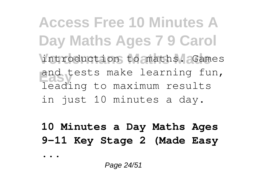**Access Free 10 Minutes A Day Maths Ages 7 9 Carol** introduction to maths. Games and tests make learning fun, leading to maximum results in just 10 minutes a day.

**10 Minutes a Day Maths Ages 9-11 Key Stage 2 (Made Easy**

Page 24/51

**...**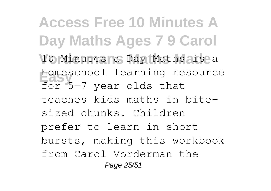**Access Free 10 Minutes A Day Maths Ages 7 9 Carol** 10 Minutes a Day Maths is a homeschool learning resource for 5-7 year olds that teaches kids maths in bitesized chunks. Children prefer to learn in short bursts, making this workbook from Carol Vorderman the Page 25/51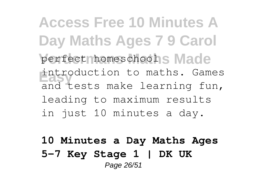**Access Free 10 Minutes A Day Maths Ages 7 9 Carol** perfect homeschools Made introduction to maths. Games<br>and tests make learning fun, introduction to maths. Games leading to maximum results in just 10 minutes a day.

**10 Minutes a Day Maths Ages 5-7 Key Stage 1 | DK UK** Page 26/51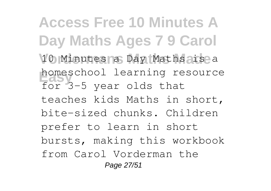**Access Free 10 Minutes A Day Maths Ages 7 9 Carol** 10 Minutes a Day Maths is a nomeschool learning re<br>for 3-5 year olds that homeschool learning resource teaches kids Maths in short, bite-sized chunks. Children prefer to learn in short bursts, making this workbook from Carol Vorderman the Page 27/51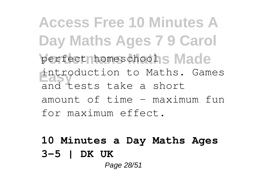**Access Free 10 Minutes A Day Maths Ages 7 9 Carol** perfect homeschools Made **Easy** and tests take a short introduction to Maths. Games amount of time - maximum fun for maximum effect.

## **10 Minutes a Day Maths Ages 3-5 | DK UK** Page 28/51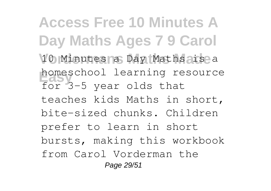**Access Free 10 Minutes A Day Maths Ages 7 9 Carol** 10 Minutes a Day Maths is a nomeschool learning re<br>for 3-5 year olds that homeschool learning resource teaches kids Maths in short, bite-sized chunks. Children prefer to learn in short bursts, making this workbook from Carol Vorderman the Page 29/51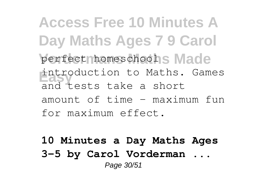**Access Free 10 Minutes A Day Maths Ages 7 9 Carol** perfect homeschools Made **Easy** and tests take a short introduction to Maths. Games amount of time - maximum fun for maximum effect.

**10 Minutes a Day Maths Ages 3-5 by Carol Vorderman ...** Page 30/51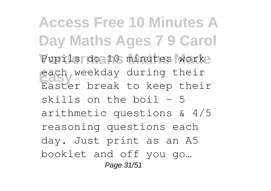**Access Free 10 Minutes A Day Maths Ages 7 9 Carol** Pupils do 10 minutes worke **Easy** each weekday during their Easter break to keep their skills on the boil  $-5$ arithmetic questions & 4/5 reasoning questions each day. Just print as an A5 booklet and off you go… Page 31/51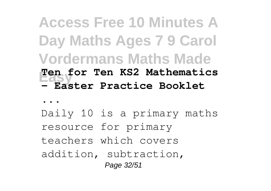## **Access Free 10 Minutes A Day Maths Ages 7 9 Carol Vordermans Maths Made Easy Ten for Ten KS2 Mathematics - Easter Practice Booklet**

**...**

Daily 10 is a primary maths resource for primary teachers which covers addition, subtraction, Page 32/51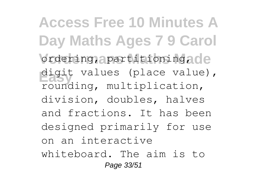**Access Free 10 Minutes A Day Maths Ages 7 9 Carol** ordering, apartitioning, de digit values (place value), rounding, multiplication, division, doubles, halves and fractions. It has been designed primarily for use on an interactive whiteboard. The aim is to Page 33/51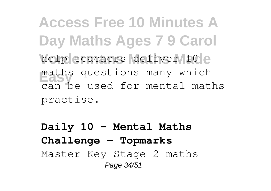**Access Free 10 Minutes A Day Maths Ages 7 9 Carol** help teachers deliver 10 e maths questions many which can be used for mental maths practise.

**Daily 10 - Mental Maths Challenge - Topmarks** Master Key Stage 2 maths Page 34/51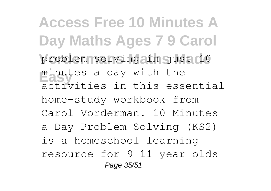**Access Free 10 Minutes A Day Maths Ages 7 9 Carol** problem solving ain Sust 10 **Easy** minutes a day with the activities in this essential home-study workbook from Carol Vorderman. 10 Minutes a Day Problem Solving (KS2) is a homeschool learning resource for 9-11 year olds Page 35/51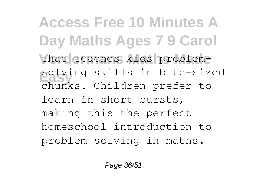**Access Free 10 Minutes A Day Maths Ages 7 9 Carol** that teaches kids problem-**Easy** solving skills in bite-sized chunks. Children prefer to learn in short bursts, making this the perfect homeschool introduction to problem solving in maths.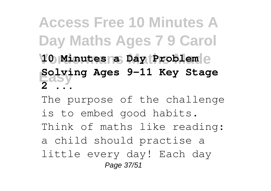**Access Free 10 Minutes A Day Maths Ages 7 9 Carol Vordermans Maths Made 10 Minutes a Day Problem Easy Solving Ages 9-11 Key Stage 2 ...**

The purpose of the challenge is to embed good habits. Think of maths like reading: a child should practise a little every day! Each day Page 37/51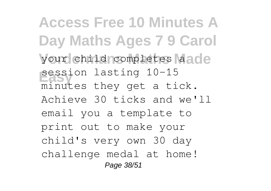**Access Free 10 Minutes A Day Maths Ages 7 9 Carol** your child completes aade **Easy** session lasting 10-15 minutes they get a tick. Achieve 30 ticks and we'll email you a template to print out to make your child's very own 30 day challenge medal at home! Page 38/51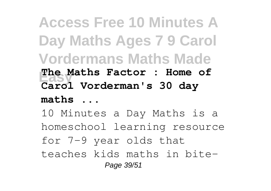**Access Free 10 Minutes A Day Maths Ages 7 9 Carol Vordermans Maths Made Easy The Maths Factor : Home of Carol Vorderman's 30 day maths ...** 10 Minutes a Day Maths is a homeschool learning resource for 7-9 year olds that teaches kids maths in bite-Page 39/51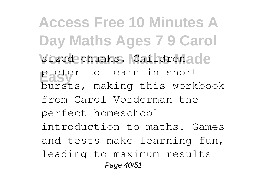**Access Free 10 Minutes A Day Maths Ages 7 9 Carol** sized chunks. Childrenade **Prefer to learn in short** bursts, making this workbook from Carol Vorderman the perfect homeschool introduction to maths. Games and tests make learning fun, leading to maximum results Page 40/51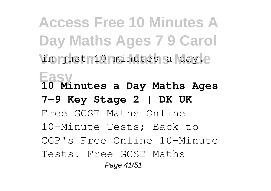**Access Free 10 Minutes A Day Maths Ages 7 9 Carol** in just 10 minutes a day.e **Easy 10 Minutes a Day Maths Ages 7-9 Key Stage 2 | DK UK** Free GCSE Maths Online 10-Minute Tests; Back to CGP's Free Online 10-Minute Tests. Free GCSE Maths Page 41/51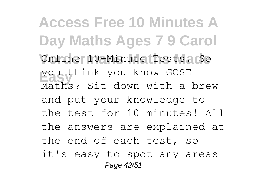**Access Free 10 Minutes A Day Maths Ages 7 9 Carol** Online 10-Minute Tests. So **Easy** you think you know GCSE Maths? Sit down with a brew and put your knowledge to the test for 10 minutes! All the answers are explained at the end of each test, so it's easy to spot any areas Page 42/51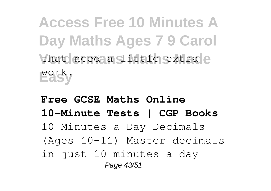**Access Free 10 Minutes A Day Maths Ages 7 9 Carol** that need a **Sittle** extra e **Easy** work.

**Free GCSE Maths Online 10-Minute Tests | CGP Books** 10 Minutes a Day Decimals (Ages 10-11) Master decimals in just 10 minutes a day Page 43/51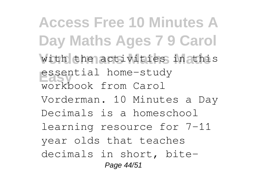**Access Free 10 Minutes A Day Maths Ages 7 9 Carol** with the activities in this **Easy** essential home-study workbook from Carol Vorderman. 10 Minutes a Day Decimals is a homeschool learning resource for 7-11 year olds that teaches decimals in short, bite-

Page 44/51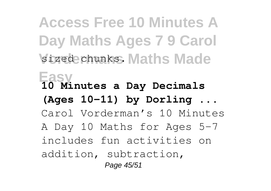**Access Free 10 Minutes A Day Maths Ages 7 9 Carol** sized chunks. Maths Made **Easy 10 Minutes a Day Decimals (Ages 10-11) by Dorling ...** Carol Vorderman's 10 Minutes A Day 10 Maths for Ages 5-7 includes fun activities on addition, subtraction, Page 45/51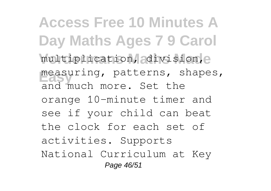**Access Free 10 Minutes A Day Maths Ages 7 9 Carol** multiplication, adivision, e **Easy** measuring, patterns, shapes, and much more. Set the orange 10-minute timer and see if your child can beat the clock for each set of activities. Supports National Curriculum at Key Page 46/51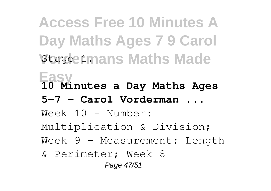**Access Free 10 Minutes A Day Maths Ages 7 9 Carol Stage 1mans Maths Made Easy 10 Minutes a Day Maths Ages 5-7 - Carol Vorderman ...** Week 10 – Number: Multiplication & Division; Week 9 – Measurement: Length & Perimeter; Week 8 – Page 47/51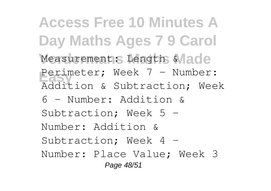**Access Free 10 Minutes A Day Maths Ages 7 9 Carol** Measurement: Length Wade **Easy** Perimeter; Week 7 – Number: Addition & Subtraction; Week

6 – Number: Addition & Subtraction; Week 5 – Number: Addition & Subtraction; Week 4 – Number: Place Value; Week 3 Page 48/51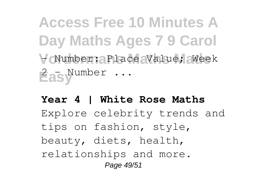**Access Free 10 Minutes A Day Maths Ages 7 9 Carol Vordermans Maths Made** – Number: Place Value; Week **Easy** 2 – Number ...

**Year 4 | White Rose Maths** Explore celebrity trends and tips on fashion, style, beauty, diets, health, relationships and more. Page 49/51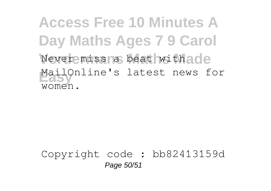**Access Free 10 Minutes A Day Maths Ages 7 9 Carol** Never miss a beat with ade MailOnline's latest news for women.

Copyright code : bb82413159d Page 50/51